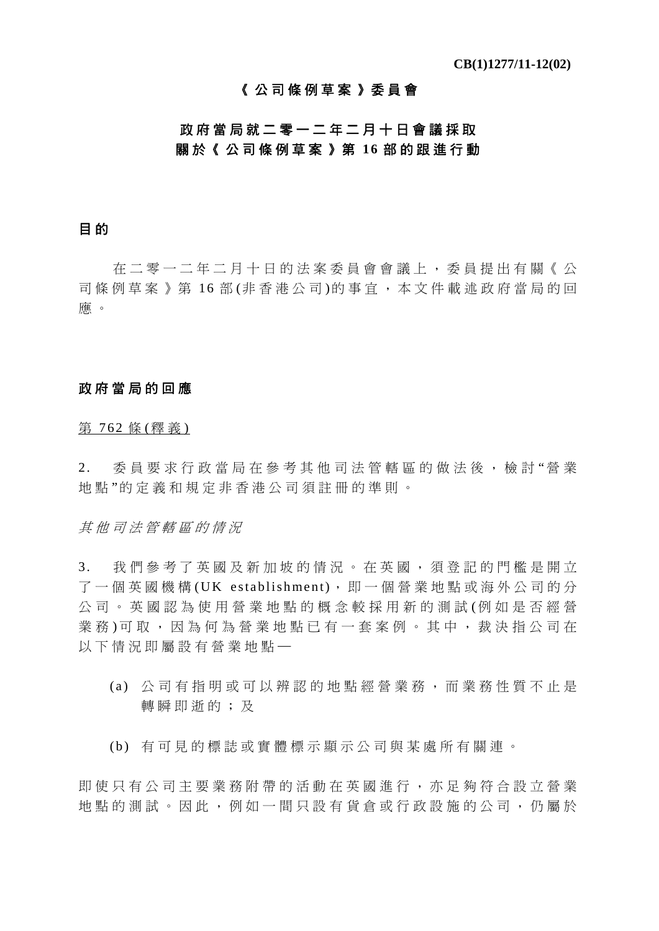## 《公司條例草案》委員會

# 政府當局就二零一二年二月十日會議採取 關於《公司條例草案》第 **16** 部的跟進行動

### 目 的

在二零一二年二月十日的法案委員會會議上,委員提出有關《公 司條例草案》第16部(非香港公司)的事官,本文件載述政府當局的回 應 。

### 政府當局的回應

第 762 條 (釋義)

2. 委員要求行政當局在參考其他司法 管轄區的做法後,檢討 "營 業 地 點 "的定義和規定非香港公司須註冊的準則。

其他司法管轄區的情況

3. 我們參考了英國及新加坡的情況。在英國,須登記的門檻是開立 了一個英國機構 (UK establishment),即一個營業地點或海外公司的分 公司。英國認為使用營業地點 的概念較採用新的測試 (例如是否經營 業務)可取,因為何為營業地點已有一套案例。其中,裁決指公司在 以下情況即屬設有營業地點一

- (a) 公司有指明或可以辨認的地點經營業務,而業務性質不止是 轉瞬即逝的;及
- (b) 有可見的標誌或實體標示顯示公司與某處所有關連。

即使只有公司主要業務附帶的活動在英國進行,亦足夠符合設立營業 地點的測試。因此,例如一間只設有貨倉或行政設施的公司,仍屬於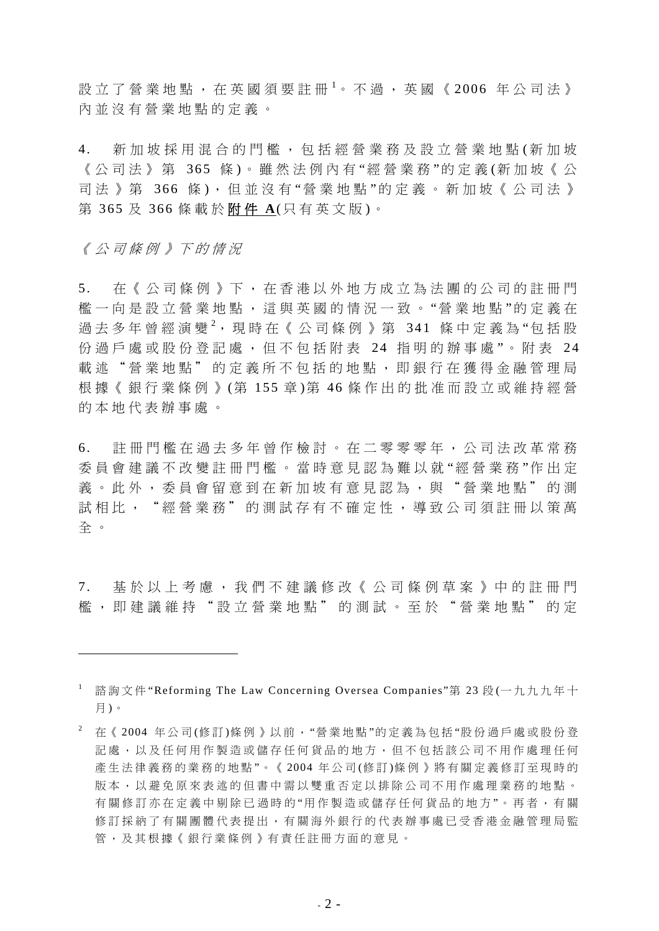設 立 了 營 業 地 點 , 在 英 國 須 要 註 冊 <sup>1</sup> 。 不 過 , 英 國 《 2006 年 公 司 法 》 內並沒有營業地點的定義。

4. 新加坡採用混合的門檻,包括經營業務及設立營業地點 (新加坡 《 公司法 》 第 365 條 )。雖然法例內有 "經營業務 "的定義 (新加坡《公 司法》第 366 條 ), 但並沒有"營業地點"的定義。新加坡《公司法》 第 365 及 366 條載於 附 件 **A**(只有英文版 )。

《公司條例》下的情況

1

5. 在《公司條例》下,在香港以外地方成立為法團的公司的註冊門 檻一向是設立營業地點,這與英國的情況一致。"營業地點"的定義在 過去多年曾經演變<sup>2</sup>,現時在《公司條例》第 341 條中定義為"包括股 份過戶處或股份登記處,但不包括附表 24 指明的辦事處"。附表 24 載述"營業地點"的定義所不包括的地點,即銀行在獲得金融管理局 根據《銀行業條例》 (第 155 章 )第 46 條作出的批准而設立或維持經營 的本地代表辦事處。

6. 註冊門檻在過去多年曾作檢討。在二零零零年,公司法改革常務 委員會建議不改變註冊門檻。當時意見認為難以就 "經營業務 "作出定 義。此外,委員會留意到在新加坡有意見認為,與"營業地點"的測 試相比, "經營業務"的測試存有不確定性,導致公司須註冊以策萬 全 。

7. 基於以上考慮,我們不建議修改《公司條例草案》中的註冊門 檻,即建議維持"設立營業地點"的測試。至於"營業地點"的定

<sup>&</sup>lt;sup>1</sup> 諮詢文件"Reforming The Law Concerning Oversea Companies"第 23 段 (一九九九年十 月 )。

 $^2$  在 《 2004 年公司(修訂)條例 》以前,"營業地點"的定義為包括"股份過戶處或股份登 記處,以及任何用作製造或儲存任何貨品的地方,但不包括該公司不用作處理任何 產生法律義務的業務的地點"。《2004年公司(修訂)條例》將有關定義修訂至現時的 版本,以避免原來表述的但書中需以雙重否定以排除公司不用作處理業務的地點。 有關修訂亦在定義中剔除已過時的"用作製造或儲存任何貨品的地方"。再者,有關 修訂採納了有關團體代表提出,有關海外銀行的代表辦事處已受香港金融管理局監 管,及其根據《銀行業條例》有責任註冊方面的意見。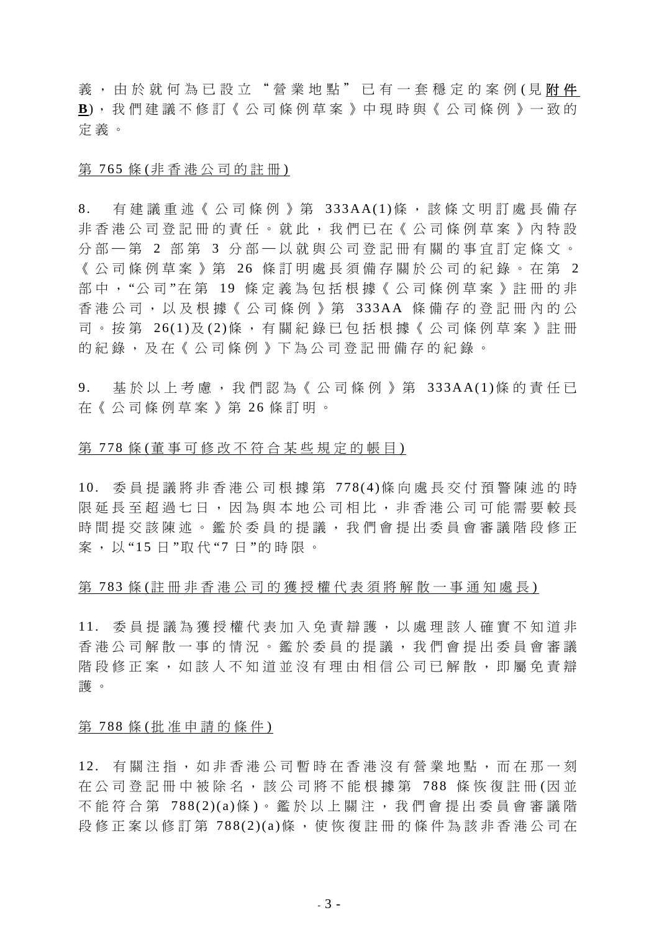義,由於就何為已設立"營業地點"已有一套穩定的案例(見附件 **B**),我們建議不修訂《公司條例草案》中現時與《公司條例》一致的 定義。

### 第 765 條 (非香港公司的註冊)

8. 有建議重述《公司條例》第 333AA(1)條, 該條文明訂處長備存 非香港公司登記冊的責任。就此,我們已在《公司條例草案》內特設 分部 一第 2 部第 3 分部 一以就與公司登記冊有關的事宜訂定條文。 《公司條例草案》第 26 條訂明處長須備存關於公司的紀錄。在第 2 部中, "公司"在第 19 條定義為包括根據《公司條例草案》註冊的非 香港公司,以及根據《公司條例》第 333AA 條備存的登記冊內的公 司。 按 第 26(1)及(2)條, 有關紀錄已包括根據《公司條例草案》註冊 的紀錄,及在《公司條例》下為公司登記冊備存的紀錄。

9. 基於以上考慮,我們認為《公司條例》第 333AA(1)條的責任已 在《公司條例草案》第 26 條訂明。

### 第 778 條 (董事可修改不符合某些規定的帳目)

10. 委員提議將非香港公司根據第 778(4)條向處長交付預警陳述的時 限延長至超過七日,因為與本地公司相比,非香港公司可能需要較長 時間提交該陳述。鑑於委員的提議,我們會提出委員會審議階段修正 案,以 "15 日 "取 代 " 7 日 "的時限。

### 第 783 條(註冊非香港公司的獲授權代表須將解散一事通知處長)

11. 委員提議為獲授權代表加入免責辯護,以處理該人確實不知道非 香港公司解散一事的情況。鑑於委員的提議,我們會提出委員會審議 階段修正案,如該人不知道並沒有理由相信公司已解散,即屬免責辯 護 。

#### 第 788 條 (批准申請的條件)

12. 有關注指,如非香港公司暫時在香港沒有營業地點,而在那一刻 在公司登記冊中被除名,該公司將不能根據第 788 條恢復註冊 (因 並 不能符合第 788(2)(a)條 )。鑑於以上關注,我們會提出委員會審議階 段修正案以修訂第 788(2)(a)條,使恢復註冊的條件為該非香港公司在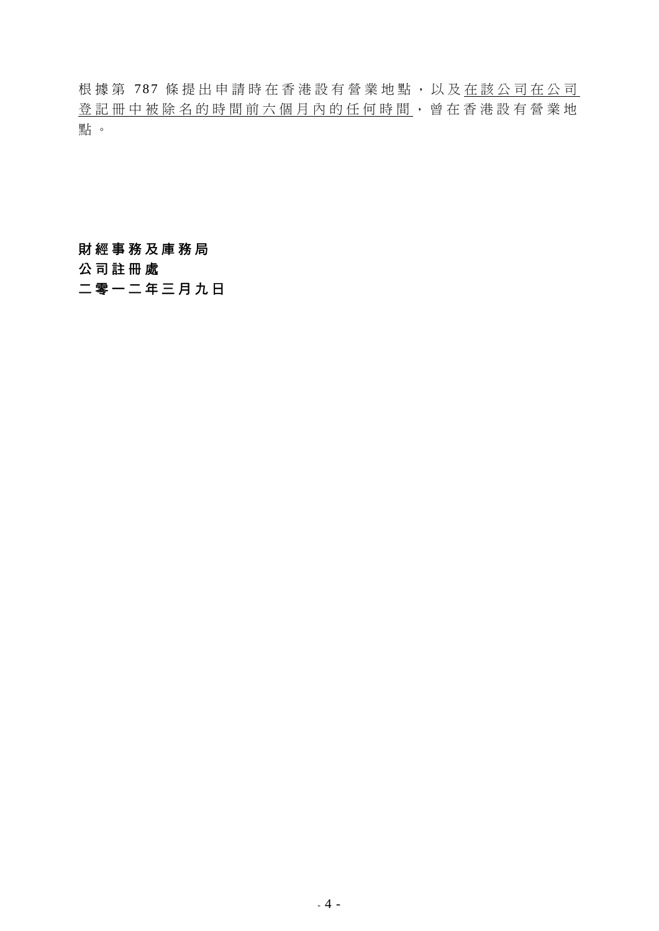根據第 787 條提出申請時在香港設有營業地點,以及在該公司在公司 登記冊中被除名的時間前六個月內的任何時間,曾在香港設有營業地 點 。

## 財經事務及庫務局

公司註冊處

二零一二年三月九日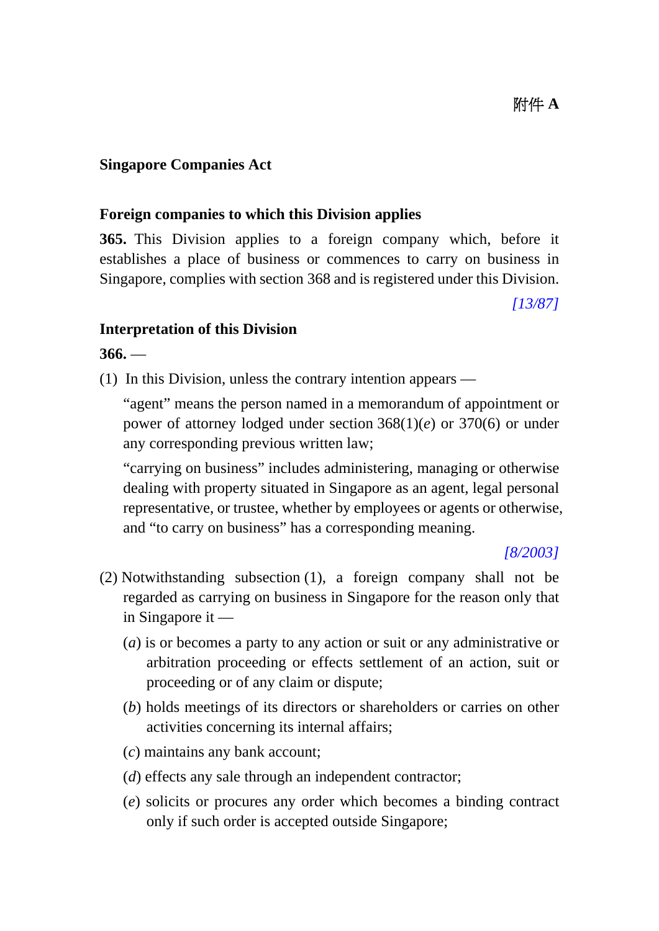## **Singapore Companies Act**

## **Foreign companies to which this Division applies**

**365.** This Division applies to a foreign company which, before it establishes a place of business or commences to carry on business in Singapore, complies with section 368 and is registered under this Division.

*[13/87]* 

## **Interpretation of this Division**

**366.** —

(1) In this Division, unless the contrary intention appears —

 "agent" means the person named in a memorandum of appointment or power of attorney lodged under section 368(1)(*e*) or 370(6) or under any corresponding previous written law;

 "carrying on business" includes administering, managing or otherwise dealing with property situated in Singapore as an agent, legal personal representative, or trustee, whether by employees or agents or otherwise, and "to carry on business" has a corresponding meaning.

### *[8/2003]*

- (2) Notwithstanding subsection (1), a foreign company shall not be regarded as carrying on business in Singapore for the reason only that in Singapore it —
	- (*a*) is or becomes a party to any action or suit or any administrative or arbitration proceeding or effects settlement of an action, suit or proceeding or of any claim or dispute;
	- (*b*) holds meetings of its directors or shareholders or carries on other activities concerning its internal affairs;
	- (*c*) maintains any bank account;
	- (*d*) effects any sale through an independent contractor;
	- (*e*) solicits or procures any order which becomes a binding contract only if such order is accepted outside Singapore;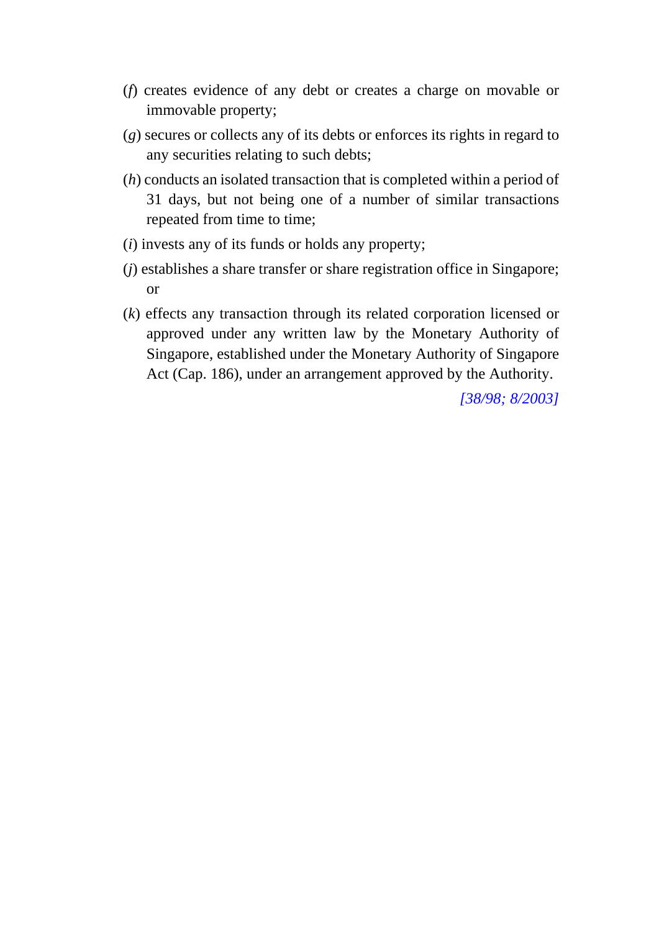- (*f*) creates evidence of any debt or creates a charge on movable or immovable property;
- (*g*) secures or collects any of its debts or enforces its rights in regard to any securities relating to such debts;
- (*h*) conducts an isolated transaction that is completed within a period of 31 days, but not being one of a number of similar transactions repeated from time to time;
- (*i*) invests any of its funds or holds any property;
- (*j*) establishes a share transfer or share registration office in Singapore; or
- (*k*) effects any transaction through its related corporation licensed or approved under any written law by the Monetary Authority of Singapore, established under the Monetary Authority of Singapore Act (Cap. 186), under an arrangement approved by the Authority.

*[38/98; 8/2003]*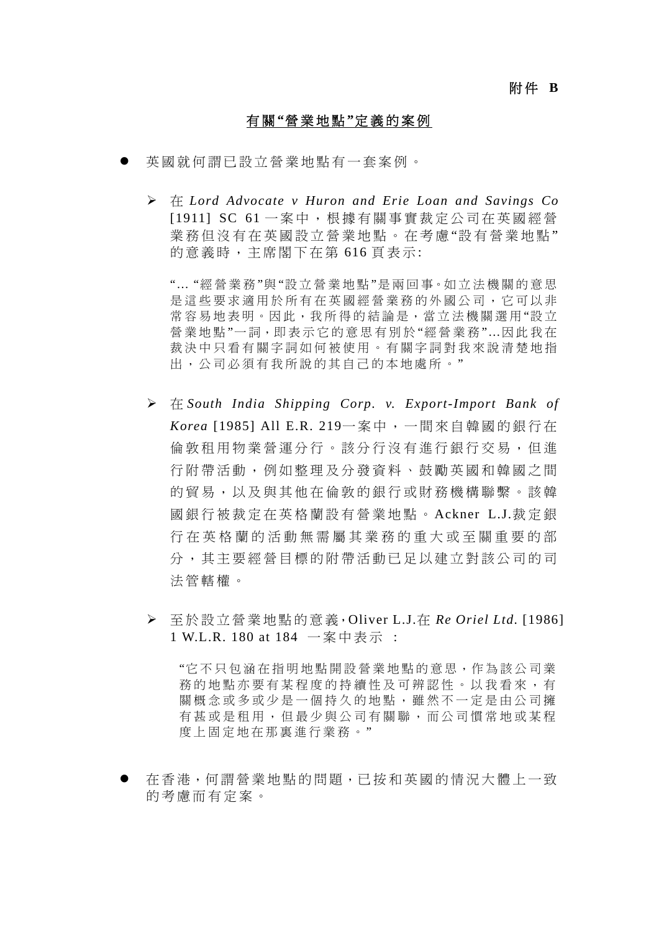### 附 件 **B**

### 有 關 **"**營業地點 **"**定義的案例

- 英國就何謂已設立營業地點有一套案例。
	- 在 *Lord Advocate v Huron and Erie Loan and Savings Co* [1911] SC 61 一案中, 根據有關事實裁定公司在英國經營 業務但沒有在英國設立營業地點。在考慮"設有營業地點" 的意義時,主席閣下在第 616 頁表示:

"… "經營業務 "與 "設立營業地點 "是 兩 回 事。如 立 法 機 關 的 意 思 是這些要求適用於所有在英國經營業務的外國公司,它可以非 常容易地表明。因此,我所得的結論是,當立法機關選用"設立 營業地點 "一詞,即表示它的意思有別於 "經營業務 "…因此我在 裁決中只看有關字詞如何被使用。有關字詞對我來說清楚地指 出,公司必須有我所說的其自己的本地處所。"

- 在 *South India Shipping Corp. v. Export-Import Bank of Korea* [1985] All E.R. 219一案中,一間來自韓國的銀行在 倫敦租用物業營運分行。該分行沒有進行銀行交易,但進 行附帶活動,例如整理及分發資料、鼓勵英國和韓國之間 的貿易,以及與其他在倫敦的銀行或財務機構聯繫。該韓 國銀行被裁定在英格蘭設有營業地點。 Ackner L.J.裁定銀 行在英格蘭的活動無需屬其業務的重大或至關重要的部 分,其主要經營目標的附帶活動已足以建立對該公司的司 法管轄權。
- 至於設立營業地點的意義,Oliver L.J.在 *Re Oriel Ltd.* [1986] 1 W.L.R. 180 at 184 一案中表示 :

"它不只包涵在指明地點開設營業地點的意思,作為該公司業 務的地點亦要有某程度的持續性及可辨認性。以我看來,有 關概念或多或少是一個持久的地點,雖然不一定是由公司擁 有甚或是租用,但最少與公司有關聯,而公司慣常地或某程 度上固定地在那裏淮行業務。"

 在香港,何謂營業地點的問題,已按和英國的情況大體上一致 的考慮而有定案。